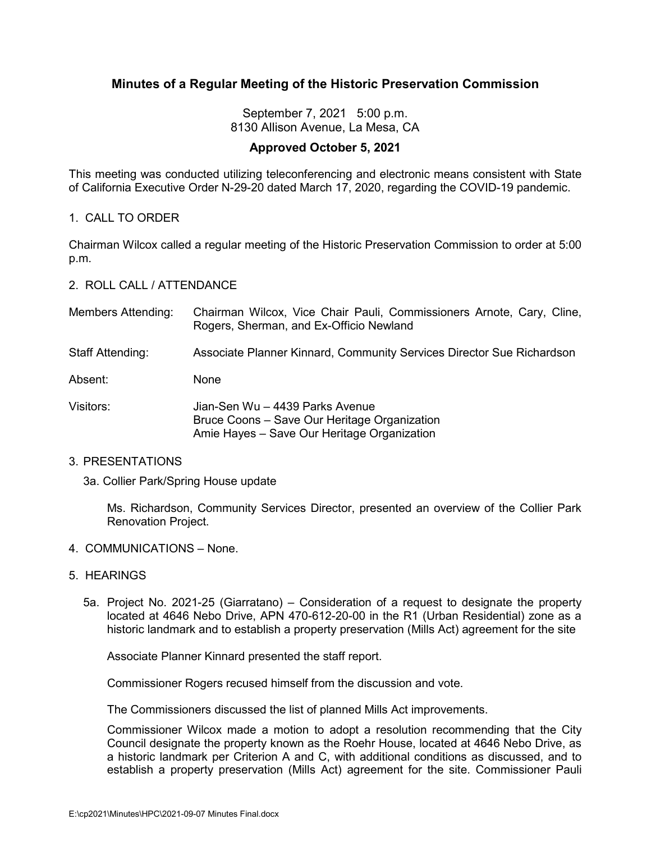# **Minutes of a Regular Meeting of the Historic Preservation Commission**

September 7, 2021 5:00 p.m. 8130 Allison Avenue, La Mesa, CA

# **Approved October 5, 2021**

This meeting was conducted utilizing teleconferencing and electronic means consistent with State of California Executive Order N-29-20 dated March 17, 2020, regarding the COVID-19 pandemic.

# 1. CALL TO ORDER

Chairman Wilcox called a regular meeting of the Historic Preservation Commission to order at 5:00 p.m.

# 2. ROLL CALL / ATTENDANCE

| <b>Members Attending:</b> | Chairman Wilcox, Vice Chair Pauli, Commissioners Arnote, Cary, Cline,<br>Rogers, Sherman, and Ex-Officio Newland               |
|---------------------------|--------------------------------------------------------------------------------------------------------------------------------|
| <b>Staff Attending:</b>   | Associate Planner Kinnard, Community Services Director Sue Richardson                                                          |
| Absent:                   | <b>None</b>                                                                                                                    |
| Visitors:                 | Jian-Sen Wu - 4439 Parks Avenue<br>Bruce Coons - Save Our Heritage Organization<br>Amie Hayes - Save Our Heritage Organization |

### 3. PRESENTATIONS

### 3a. Collier Park/Spring House update

Ms. Richardson, Community Services Director, presented an overview of the Collier Park Renovation Project.

### 4. COMMUNICATIONS – None.

## 5. HEARINGS

5a. Project No. 2021-25 (Giarratano) – Consideration of a request to designate the property located at 4646 Nebo Drive, APN 470-612-20-00 in the R1 (Urban Residential) zone as a historic landmark and to establish a property preservation (Mills Act) agreement for the site

Associate Planner Kinnard presented the staff report.

Commissioner Rogers recused himself from the discussion and vote.

The Commissioners discussed the list of planned Mills Act improvements.

Commissioner Wilcox made a motion to adopt a resolution recommending that the City Council designate the property known as the Roehr House, located at 4646 Nebo Drive, as a historic landmark per Criterion A and C, with additional conditions as discussed, and to establish a property preservation (Mills Act) agreement for the site. Commissioner Pauli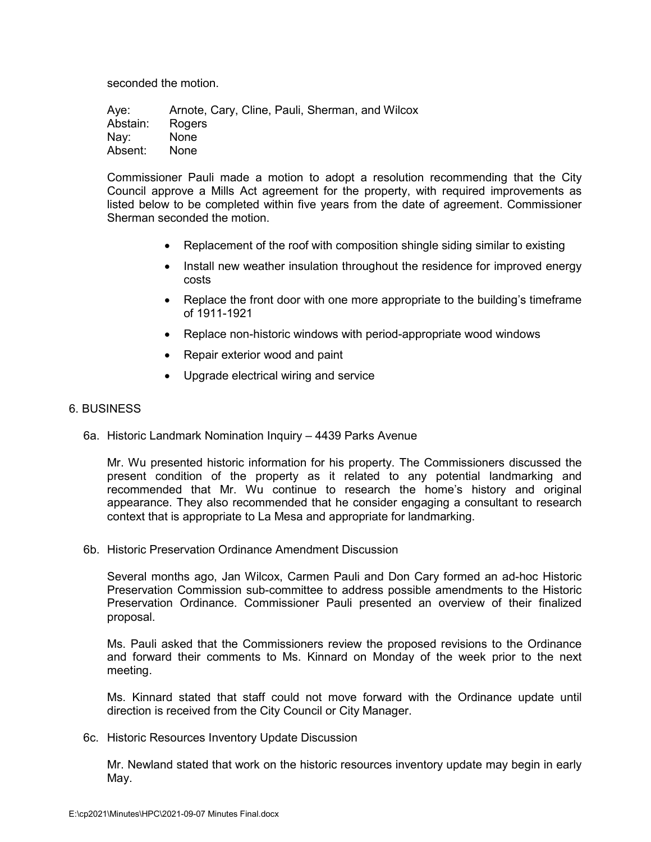seconded the motion.

Aye: Arnote, Cary, Cline, Pauli, Sherman, and Wilcox Abstain: Rogers Nay: None Absent: None

Commissioner Pauli made a motion to adopt a resolution recommending that the City Council approve a Mills Act agreement for the property, with required improvements as listed below to be completed within five years from the date of agreement. Commissioner Sherman seconded the motion.

- Replacement of the roof with composition shingle siding similar to existing
- Install new weather insulation throughout the residence for improved energy costs
- Replace the front door with one more appropriate to the building's timeframe of 1911-1921
- Replace non-historic windows with period-appropriate wood windows
- Repair exterior wood and paint
- Upgrade electrical wiring and service

### 6. BUSINESS

6a. Historic Landmark Nomination Inquiry – 4439 Parks Avenue

Mr. Wu presented historic information for his property. The Commissioners discussed the present condition of the property as it related to any potential landmarking and recommended that Mr. Wu continue to research the home's history and original appearance. They also recommended that he consider engaging a consultant to research context that is appropriate to La Mesa and appropriate for landmarking.

6b. Historic Preservation Ordinance Amendment Discussion

Several months ago, Jan Wilcox, Carmen Pauli and Don Cary formed an ad-hoc Historic Preservation Commission sub-committee to address possible amendments to the Historic Preservation Ordinance. Commissioner Pauli presented an overview of their finalized proposal.

Ms. Pauli asked that the Commissioners review the proposed revisions to the Ordinance and forward their comments to Ms. Kinnard on Monday of the week prior to the next meeting.

Ms. Kinnard stated that staff could not move forward with the Ordinance update until direction is received from the City Council or City Manager.

6c. Historic Resources Inventory Update Discussion

Mr. Newland stated that work on the historic resources inventory update may begin in early May.